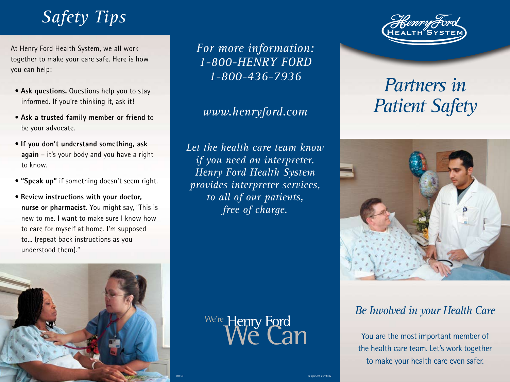## *Safety Tips*

At Henry Ford Health System, we all work together to make your care safe. Here is how you can help:

- **Ask questions.** Questions help you to stay informed. If you're thinking it, ask it!
- **Ask a trusted family member or friend** to be your advocate.
- **If you don't understand something, ask again** – it's your body and you have a right to know.
- **"Speak up"** if something doesn't seem right.
- **Review instructions with your doctor, nurse or pharmacist.** You might say, "This is new to me. I want to make sure I know how to care for myself at home. I'm supposed to... (repeat back instructions as you understood them)."



*For more information: 1-800-HENRY FORD 1-800-436-7936*

#### *www.henryford.com*

*Let the health care team know if you need an interpreter. Henry Ford Health System provides interpreter services, to all of our patients, free of charge.*



PeopleSoft #219832



# *Partners in Patient Safety*



### *Be Involved in your Health Care*

You are the most important member of the health care team. Let's work together to make your health care even safer.